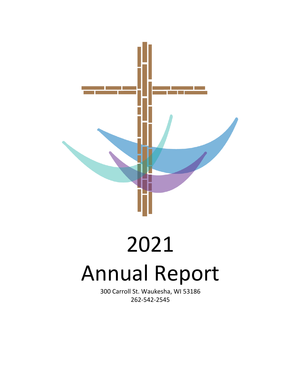

# 2021 Annual Report

300 Carroll St. Waukesha, WI 53186 262-542-2545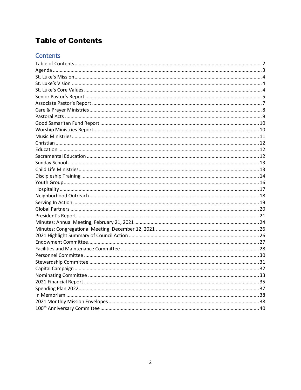## <span id="page-1-0"></span>**Table of Contents**

## Contents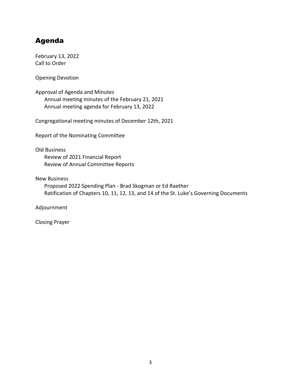## <span id="page-2-0"></span>Agenda

February 13, 2022 Call to Order

Opening Devotion

Approval of Agenda and Minutes Annual meeting minutes of the February 21, 2021 Annual meeting agenda for February 13, 2022

Congregational meeting minutes of December 12th, 2021

Report of the Nominating Committee

#### Old Business

Review of 2021 Financial Report Review of Annual Committee Reports

New Business

Proposed 2022 Spending Plan - Brad Skogman or Ed Raether Ratification of Chapters 10, 11, 12, 13, and 14 of the St. Luke's Governing Documents

Adjournment

Closing Prayer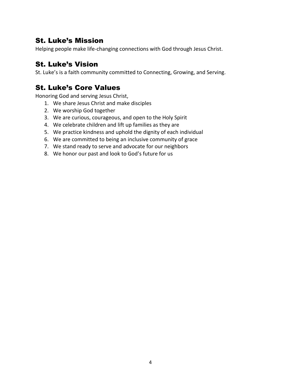## <span id="page-3-0"></span>St. Luke's Mission

Helping people make life-changing connections with God through Jesus Christ.

## <span id="page-3-1"></span>St. Luke's Vision

St. Luke's is a faith community committed to Connecting, Growing, and Serving.

## <span id="page-3-2"></span>St. Luke's Core Values

Honoring God and serving Jesus Christ,

- 1. We share Jesus Christ and make disciples
- 2. We worship God together
- 3. We are curious, courageous, and open to the Holy Spirit
- 4. We celebrate children and lift up families as they are
- 5. We practice kindness and uphold the dignity of each individual
- 6. We are committed to being an inclusive community of grace
- 7. We stand ready to serve and advocate for our neighbors
- 8. We honor our past and look to God's future for us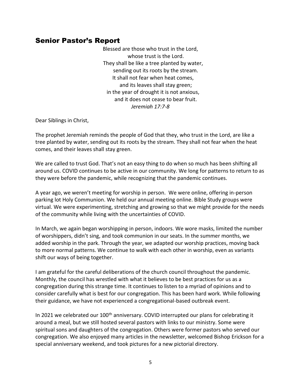## <span id="page-4-0"></span>Senior Pastor's Report

Blessed are those who trust in the Lord, whose trust is the Lord. They shall be like a tree planted by water, sending out its roots by the stream. It shall not fear when heat comes, and its leaves shall stay green; in the year of drought it is not anxious, and it does not cease to bear fruit. *Jeremiah 17:7-8*

Dear Siblings in Christ,

The prophet Jeremiah reminds the people of God that they, who trust in the Lord, are like a tree planted by water, sending out its roots by the stream. They shall not fear when the heat comes, and their leaves shall stay green.

We are called to trust God. That's not an easy thing to do when so much has been shifting all around us. COVID continues to be active in our community. We long for patterns to return to as they were before the pandemic, while recognizing that the pandemic continues.

A year ago, we weren't meeting for worship in person. We were online, offering in-person parking lot Holy Communion. We held our annual meeting online. Bible Study groups were virtual. We were experimenting, stretching and growing so that we might provide for the needs of the community while living with the uncertainties of COVID.

In March, we again began worshipping in person, indoors. We wore masks, limited the number of worshippers, didn't sing, and took communion in our seats. In the summer months, we added worship in the park. Through the year, we adapted our worship practices, moving back to more normal patterns. We continue to walk with each other in worship, even as variants shift our ways of being together.

I am grateful for the careful deliberations of the church council throughout the pandemic. Monthly, the council has wrestled with what it believes to be best practices for us as a congregation during this strange time. It continues to listen to a myriad of opinions and to consider carefully what is best for our congregation. This has been hard work. While following their guidance, we have not experienced a congregational-based outbreak event.

In 2021 we celebrated our 100<sup>th</sup> anniversary. COVID interrupted our plans for celebrating it around a meal, but we still hosted several pastors with links to our ministry. Some were spiritual sons and daughters of the congregation. Others were former pastors who served our congregation. We also enjoyed many articles in the newsletter, welcomed Bishop Erickson for a special anniversary weekend, and took pictures for a new pictorial directory.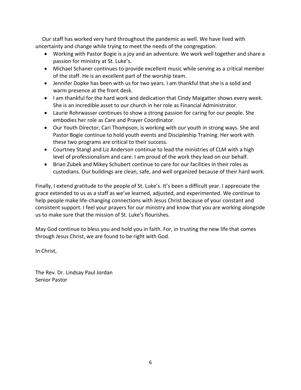Our staff has worked very hard throughout the pandemic as well. We have lived with uncertainty and change while trying to meet the needs of the congregation.

- Working with Pastor Bogie is a joy and an adventure. We work well together and share a passion for ministry at St. Luke's.
- Michael Schaner continues to provide excellent music while serving as a critical member of the staff. He is an excellent part of the worship team.
- Jennifer Dopke has been with us for two years. I am thankful that she is a solid and warm presence at the front desk.
- I am thankful for the hard work and dedication that Cindy Maigatter shows every week. She is an incredible asset to our church in her role as Financial Administrator.
- Laurie Rohrwasser continues to show a strong passion for caring for our people. She embodies her role as Care and Prayer Coordinator.
- Our Youth Director, Cari Thompson, is working with our youth in strong ways. She and Pastor Bogie continue to hold youth events and Discipleship Training. Her work with these two programs are critical to their success.
- Courtney Stangl and Liz Anderson continue to lead the ministries of CLM with a high level of professionalism and care. I am proud of the work they lead on our behalf.
- Brian Zubek and Mikey Schubert continue to care for our facilities in their roles as custodians. Our buildings are clean, safe, and well organized because of their hard work.

Finally, I extend gratitude to the people of St. Luke's. It's been a difficult year. I appreciate the grace extended to us as a staff as we've learned, adjusted, and experimented. We continue to help people make life-changing connections with Jesus Christ because of your constant and consistent support. I feel your prayers for our ministry and know that you are working alongside us to make sure that the mission of St. Luke's flourishes.

May God continue to bless you and hold you in faith. For, in trusting the new life that comes through Jesus Christ, we are found to be right with God.

In Christ,

The Rev. Dr. Lindsay Paul Jordan Senior Pastor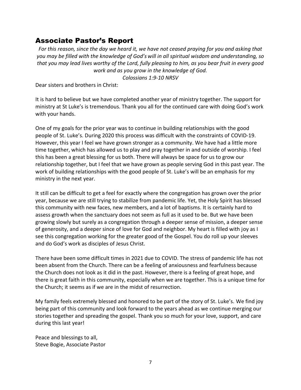## <span id="page-6-0"></span>Associate Pastor's Report

*For this reason, since the day we heard it, we have not ceased praying for you and asking that you may be filled with the knowledge of God's will in all spiritual wisdom and understanding, so that you may lead lives worthy of the Lord, fully pleasing to him, as you bear fruit in every good work and as you grow in the knowledge of God.*

*Colossians 1:9-10 NRSV*

Dear sisters and brothers in Christ:

It is hard to believe but we have completed another year of ministry together. The support for ministry at St Luke's is tremendous. Thank you all for the continued care with doing God's work with your hands.

One of my goals for the prior year was to continue in building relationships with the good people of St. Luke's. During 2020 this process was difficult with the constraints of COVID-19. However, this year I feel we have grown stronger as a community. We have had a little more time together, which has allowed us to play and pray together in and outside of worship. I feel this has been a great blessing for us both. There will always be space for us to grow our relationship together, but I feel that we have grown as people serving God in this past year. The work of building relationships with the good people of St. Luke's will be an emphasis for my ministry in the next year.

It still can be difficult to get a feel for exactly where the congregation has grown over the prior year, because we are still trying to stabilize from pandemic life. Yet, the Holy Spirit has blessed this community with new faces, new members, and a lot of baptisms. It is certainly hard to assess growth when the sanctuary does not seem as full as it used to be. But we have been growing slowly but surely as a congregation through a deeper sense of mission, a deeper sense of generosity, and a deeper since of love for God and neighbor. My heart is filled with joy as I see this congregation working for the greater good of the Gospel. You do roll up your sleeves and do God's work as disciples of Jesus Christ.

There have been some difficult times in 2021 due to COVID. The stress of pandemic life has not been absent from the Church. There can be a feeling of anxiousness and fearfulness because the Church does not look as it did in the past. However, there is a feeling of great hope, and there is great faith in this community, especially when we are together. This is a unique time for the Church; it seems as if we are in the midst of resurrection.

My family feels extremely blessed and honored to be part of the story of St. Luke's. We find joy being part of this community and look forward to the years ahead as we continue merging our stories together and spreading the gospel. Thank you so much for your love, support, and care during this last year!

Peace and blessings to all, Steve Bogie, Associate Pastor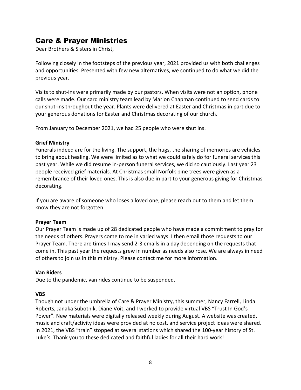## <span id="page-7-0"></span>Care & Prayer Ministries

Dear Brothers & Sisters in Christ,

Following closely in the footsteps of the previous year, 2021 provided us with both challenges and opportunities. Presented with few new alternatives, we continued to do what we did the previous year.

Visits to shut-ins were primarily made by our pastors. When visits were not an option, phone calls were made. Our card ministry team lead by Marion Chapman continued to send cards to our shut-ins throughout the year. Plants were delivered at Easter and Christmas in part due to your generous donations for Easter and Christmas decorating of our church.

From January to December 2021, we had 25 people who were shut ins.

#### **Grief Ministry**

Funerals indeed are for the living. The support, the hugs, the sharing of memories are vehicles to bring about healing. We were limited as to what we could safely do for funeral services this past year. While we did resume in-person funeral services, we did so cautiously. Last year 23 people received grief materials. At Christmas small Norfolk pine trees were given as a remembrance of their loved ones. This is also due in part to your generous giving for Christmas decorating.

If you are aware of someone who loses a loved one, please reach out to them and let them know they are not forgotten.

#### **Prayer Team**

Our Prayer Team is made up of 28 dedicated people who have made a commitment to pray for the needs of others. Prayers come to me in varied ways. I then email those requests to our Prayer Team. There are times I may send 2-3 emails in a day depending on the requests that come in. This past year the requests grew in number as needs also rose. We are always in need of others to join us in this ministry. Please contact me for more information.

#### **Van Riders**

Due to the pandemic, van rides continue to be suspended.

#### **VBS**

Though not under the umbrella of Care & Prayer Ministry, this summer, Nancy Farrell, Linda Roberts, Janaka Subotnik, Diane Voit, and I worked to provide virtual VBS "Trust In God's Power". New materials were digitally released weekly during August. A website was created, music and craft/activity ideas were provided at no cost, and service project ideas were shared. In 2021, the VBS "train" stopped at several stations which shared the 100-year history of St. Luke's. Thank you to these dedicated and faithful ladies for all their hard work!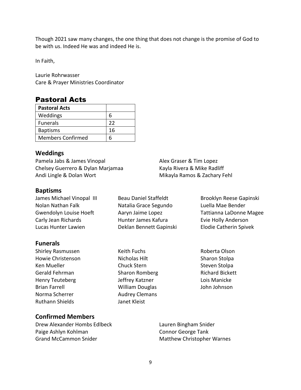Though 2021 saw many changes, the one thing that does not change is the promise of God to be with us. Indeed He was and indeed He is.

In Faith,

Laurie Rohrwasser Care & Prayer Ministries Coordinator

### <span id="page-8-0"></span>Pastoral Acts

| <b>Pastoral Acts</b>     |    |
|--------------------------|----|
| Weddings                 | 6  |
| <b>Funerals</b>          | 22 |
| <b>Baptisms</b>          | 16 |
| <b>Members Confirmed</b> |    |

#### **Weddings**

Pamela Jabs & James Vinopal Chelsey Guerrero & Dylan Marjamaa Andi Lingle & Dolan Wort

Alex Graser & Tim Lopez Kayla Rivera & Mike Radliff Mikayla Ramos & Zachary Fehl

#### **Baptisms**

| James Michael Vinopal III | <b>Beau Daniel Staffeldt</b> | <b>Brooklyn Reese Gapinski</b> |
|---------------------------|------------------------------|--------------------------------|
| Nolan Nathan Falk         | Natalia Grace Segundo        | Luella Mae Bender              |
| Gwendolyn Louise Hoeft    | Aaryn Jaime Lopez            | Tattianna LaDonne Mage         |
| Carly Jean Richards       | Hunter James Kafura          | Evie Holly Anderson            |
| Lucas Hunter Lawien       | Deklan Bennett Gapinski      | <b>Elodie Catherin Spivek</b>  |
|                           |                              |                                |

#### **Funerals**

- Shirley Rasmussen Howie Christenson Ken Mueller Gerald Fehrman Henry Teuteberg Brian Farrell Norma Scherrer Ruthann Shields
- Keith Fuchs Nicholas Hilt Chuck Stern Sharon Romberg Jeffrey Katzner William Douglas Audrey Clemans Janet Kleist
- Tattianna LaDonne Magee
- Roberta Olson Sharon Stolpa Steven Stolpa Richard Bickett Lois Manicke John Johnson

#### **Confirmed Members**

Drew Alexander Hombs Edlbeck Paige Ashlyn Kohlman Grand McCammon Snider

Lauren Bingham Snider Connor George Tank Matthew Christopher Warnes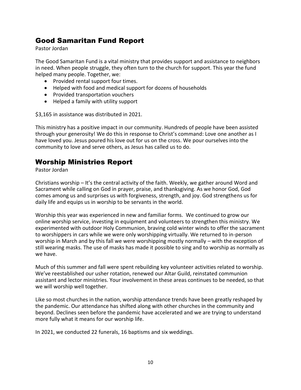## <span id="page-9-0"></span>Good Samaritan Fund Report

Pastor Jordan

The Good Samaritan Fund is a vital ministry that provides support and assistance to neighbors in need. When people struggle, they often turn to the church for support. This year the fund helped many people. Together, we:

- Provided rental support four times.
- Helped with food and medical support for dozens of households
- Provided transportation vouchers
- Helped a family with utility support

\$3,165 in assistance was distributed in 2021.

This ministry has a positive impact in our community. Hundreds of people have been assisted through your generosity! We do this in response to Christ's command: Love one another as I have loved you. Jesus poured his love out for us on the cross. We pour ourselves into the community to love and serve others, as Jesus has called us to do.

## <span id="page-9-1"></span>Worship Ministries Report

Pastor Jordan

Christians worship – It's the central activity of the faith. Weekly, we gather around Word and Sacrament while calling on God in prayer, praise, and thanksgiving. As we honor God, God comes among us and surprises us with forgiveness, strength, and joy. God strengthens us for daily life and equips us in worship to be servants in the world.

Worship this year was experienced in new and familiar forms. We continued to grow our online worship service, investing in equipment and volunteers to strengthen this ministry. We experimented with outdoor Holy Communion, braving cold winter winds to offer the sacrament to worshippers in cars while we were only worshipping virtually. We returned to in-person worship in March and by this fall we were worshipping mostly normally – with the exception of still wearing masks. The use of masks has made it possible to sing and to worship as normally as we have.

Much of this summer and fall were spent rebuilding key volunteer activities related to worship. We've reestablished our usher rotation, renewed our Altar Guild, reinstated communion assistant and lector ministries. Your involvement in these areas continues to be needed, so that we will worship well together.

Like so most churches in the nation, worship attendance trends have been greatly reshaped by the pandemic. Our attendance has shifted along with other churches in the community and beyond. Declines seen before the pandemic have accelerated and we are trying to understand more fully what it means for our worship life.

In 2021, we conducted 22 funerals, 16 baptisms and six weddings.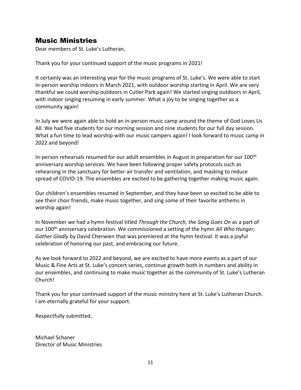## <span id="page-10-0"></span>Music Ministries

Dear members of St. Luke's Lutheran,

Thank you for your continued support of the music programs in 2021!

It certainly was an interesting year for the music programs of St. Luke's. We were able to start in-person worship indoors in March 2021, with outdoor worship starting in April. We are very thankful we could worship outdoors in Cutler Park again! We started singing outdoors in April, with indoor singing resuming in early summer. What a joy to be singing together as a community again!

In July we were again able to hold an in-person music camp around the theme of God Loves Us All. We had five students for our morning session and nine students for our full day session. What a fun time to lead worship with our music campers again! I look forward to music camp in 2022 and beyond!

In-person rehearsals resumed for our adult ensembles in August in preparation for our 100<sup>th</sup> anniversary worship services. We have been following proper safety protocols such as rehearsing in the sanctuary for better air transfer and ventilation, and masking to reduce spread of COVID-19. The ensembles are excited to be gathering together making music again.

Our children's ensembles resumed in September, and they have been so excited to be able to see their choir friends, make music together, and sing some of their favorite anthems in worship again!

In November we had a hymn festival titled *Through the Church, the Song Goes On* as a part of our 100th anniversary celebration. We commissioned a setting of the hymn *All Who Hunger, Gather Gladly* by David Cherwien that was premiered at the hymn festival. It was a joyful celebration of honoring our past, and embracing our future.

As we look forward to 2022 and beyond, we are excited to have more events as a part of our Music & Fine Arts at St. Luke's concert series, continue growth both in numbers and ability in our ensembles, and continuing to make music together as the community of St. Luke's Lutheran Church!

Thank you for your continued support of the music ministry here at St. Luke's Lutheran Church. I am eternally grateful for your support.

Respectfully submitted,

Michael Schaner Director of Music Ministries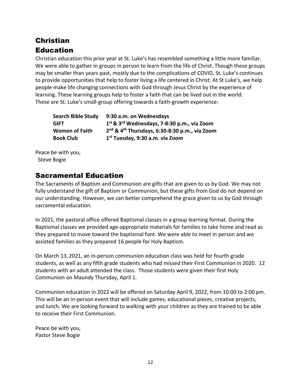# <span id="page-11-1"></span><span id="page-11-0"></span>Christian **Education**

Christian education this prior year at St. Luke's has resembled something a little more familiar. We were able to gather in groups in person to learn from the life of Christ. Though these groups may be smaller than years past, mostly due to the complications of COVID, St. Luke's continues to provide opportunities that help to foster living a life centered in Christ. At St Luke's, we help people make life changing connections with God through Jesus Christ by the experience of learning. These learning groups help to foster a faith that can be lived out in the world. These are St. Luke's small-group offering towards a faith-growth experience:

| <b>Search Bible Study</b> | 9:30 a.m. on Wednesdays                                               |
|---------------------------|-----------------------------------------------------------------------|
| <b>GIFT</b>               | 1st & 3rd Wednesdays, 7-8:30 p.m., via Zoom                           |
| <b>Women of Faith</b>     | 2 <sup>nd</sup> & 4 <sup>th</sup> Thursdays, 6:30-8:30 p.m., via Zoom |
| <b>Book Club</b>          | 1 <sup>st</sup> Tuesday, 9:30 a.m. via Zoom                           |

Peace be with you, Steve Bogie

## <span id="page-11-2"></span>Sacramental Education

The Sacraments of Baptism and Communion are gifts that are given to us by God. We may not fully understand the gift of Baptism or Communion, but these gifts from God do not depend on our understanding. However, we can better comprehend the grace given to us by God through sacramental education.

In 2021, the pastoral office offered Baptismal classes in a group learning format. During the Baptismal classes we provided age-appropriate materials for families to take home and read as they prepared to move toward the baptismal font. We were able to meet in person and we assisted families as they prepared 16 people for Holy Baptism.

On March 13, 2021, an in-person communion education class was held for fourth grade students, as well as any fifth grade students who had missed their First Communion in 2020. 12 students with an adult attended the class. Those students were given their first Holy Communion on Maundy Thursday, April 1.

Communion education in 2022 will be offered on Saturday April 9, 2022, from 10:00 to 2:00 pm. This will be an in-person event that will include games, educational pieces, creative projects, and lunch. We are looking forward to walking with your children as they are trained to be able to receive their First Communion.

Peace be with you, Pastor Steve Bogie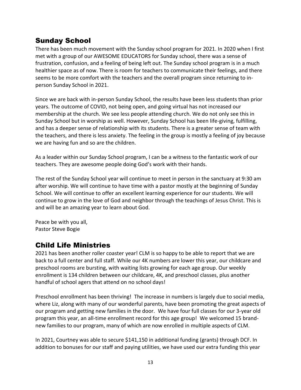## <span id="page-12-0"></span>Sunday School

There has been much movement with the Sunday school program for 2021. In 2020 when I first met with a group of our AWESOME EDUCATORS for Sunday school, there was a sense of frustration, confusion, and a feeling of being left out. The Sunday school program is in a much healthier space as of now. There is room for teachers to communicate their feelings, and there seems to be more comfort with the teachers and the overall program since returning to inperson Sunday School in 2021.

Since we are back with in-person Sunday School, the results have been less students than prior years. The outcome of COVID, not being open, and going virtual has not increased our membership at the church. We see less people attending church. We do not only see this in Sunday School but in worship as well. However, Sunday School has been life-giving, fulfilling, and has a deeper sense of relationship with its students. There is a greater sense of team with the teachers, and there is less anxiety. The feeling in the group is mostly a feeling of joy because we are having fun and so are the children.

As a leader within our Sunday School program, I can be a witness to the fantastic work of our teachers. They are awesome people doing God's work with their hands.

The rest of the Sunday School year will continue to meet in person in the sanctuary at 9:30 am after worship. We will continue to have time with a pastor mostly at the beginning of Sunday School. We will continue to offer an excellent learning experience for our students. We will continue to grow in the love of God and neighbor through the teachings of Jesus Christ. This is and will be an amazing year to learn about God.

Peace be with you all, Pastor Steve Bogie

## <span id="page-12-1"></span>Child Life Ministries

2021 has been another roller coaster year! CLM is so happy to be able to report that we are back to a full center and full staff. While our 4K numbers are lower this year, our childcare and preschool rooms are bursting, with waiting lists growing for each age group. Our weekly enrollment is 134 children between our childcare, 4K, and preschool classes, plus another handful of school agers that attend on no school days!

Preschool enrollment has been thriving! The increase in numbers is largely due to social media, where Liz, along with many of our wonderful parents, have been promoting the great aspects of our program and getting new families in the door. We have four full classes for our 3-year old program this year, an all-time enrollment record for this age group! We welcomed 15 brandnew families to our program, many of which are now enrolled in multiple aspects of CLM.

In 2021, Courtney was able to secure \$141,150 in additional funding (grants) through DCF. In addition to bonuses for our staff and paying utilities, we have used our extra funding this year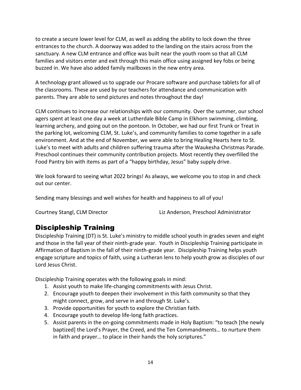to create a secure lower level for CLM, as well as adding the ability to lock down the three entrances to the church. A doorway was added to the landing on the stairs across from the sanctuary. A new CLM entrance and office was built near the youth room so that all CLM families and visitors enter and exit through this main office using assigned key fobs or being buzzed in. We have also added family mailboxes in the new entry area.

A technology grant allowed us to upgrade our Procare software and purchase tablets for all of the classrooms. These are used by our teachers for attendance and communication with parents. They are able to send pictures and notes throughout the day!

CLM continues to increase our relationships with our community. Over the summer, our school agers spent at least one day a week at Lutherdale Bible Camp in Elkhorn swimming, climbing, learning archery, and going out on the pontoon. In October, we had our first Trunk or Treat in the parking lot, welcoming CLM, St. Luke's, and community families to come together in a safe environment. And at the end of November, we were able to bring Healing Hearts here to St. Luke's to meet with adults and children suffering trauma after the Waukesha Christmas Parade. Preschool continues their community contribution projects. Most recently they overfilled the Food Pantry bin with items as part of a "happy birthday, Jesus" baby supply drive.

We look forward to seeing what 2022 brings! As always, we welcome you to stop in and check out our center.

Sending many blessings and well wishes for health and happiness to all of you!

Courtney Stangl, CLM Director Liz Anderson, Preschool Administrator

## <span id="page-13-0"></span>Discipleship Training

Discipleship Training (DT) is St. Luke's ministry to middle school youth in grades seven and eight and those in the fall year of their ninth-grade year. Youth in Discipleship Training participate in Affirmation of Baptism in the fall of their ninth-grade year. Discipleship Training helps youth engage scripture and topics of faith, using a Lutheran lens to help youth grow as disciples of our Lord Jesus Christ.

Discipleship Training operates with the following goals in mind:

- 1. Assist youth to make life-changing commitments with Jesus Christ.
- 2. Encourage youth to deepen their involvement in this faith community so that they might connect, grow, and serve in and through St. Luke's.
- 3. Provide opportunities for youth to explore the Christian faith.
- 4. Encourage youth to develop life-long faith practices.
- 5. Assist parents in the on-going commitments made in Holy Baptism: "to teach [the newly baptized] the Lord's Prayer, the Creed, and the Ten Commandments… to nurture them in faith and prayer… to place in their hands the holy scriptures."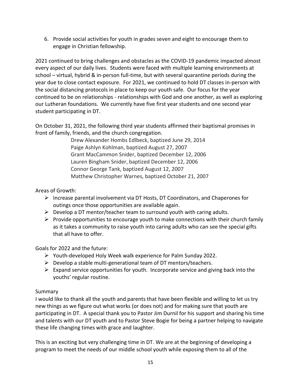6. Provide social activities for youth in grades seven and eight to encourage them to engage in Christian fellowship.

2021 continued to bring challenges and obstacles as the COVID-19 pandemic impacted almost every aspect of our daily lives. Students were faced with multiple learning environments at school – virtual, hybrid & in-person full-time, but with several quarantine periods during the year due to close contact exposure. For 2021, we continued to hold DT classes in-person with the social distancing protocols in place to keep our youth safe. Our focus for the year continued to be on relationships - relationships with God and one another, as well as exploring our Lutheran foundations. We currently have five first year students and one second year student participating in DT.

On October 31, 2021, the following third year students affirmed their baptismal promises in front of family, friends, and the church congregation.

> Drew Alexander Hombs Edlbeck, baptized June 29, 2014 Paige Ashlyn Kohlman, baptized August 27, 2007 Grant MacCammon Snider, baptized December 12, 2006 Lauren Bingham Snider, baptized December 12, 2006 Connor George Tank, baptized August 12, 2007 Matthew Christopher Warnes, baptized October 21, 2007

#### Areas of Growth:

- $\triangleright$  Increase parental involvement via DT Hosts, DT Coordinators, and Chaperones for outings once those opportunities are available again.
- $\triangleright$  Develop a DT mentor/teacher team to surround youth with caring adults.
- $\triangleright$  Provide opportunities to encourage youth to make connections with their church family as it takes a community to raise youth into caring adults who can see the special gifts that all have to offer.

Goals for 2022 and the future:

- ➢ Youth-developed Holy Week walk experience for Palm Sunday 2022.
- $\triangleright$  Develop a stable multi-generational team of DT mentors/teachers.
- $\triangleright$  Expand service opportunities for youth. Incorporate service and giving back into the youths' regular routine.

#### Summary

I would like to thank all the youth and parents that have been flexible and willing to let us try new things as we figure out what works (or does not) and for making sure that youth are participating in DT. A special thank you to Pastor Jim Durnil for his support and sharing his time and talents with our DT youth and to Pastor Steve Bogie for being a partner helping to navigate these life changing times with grace and laughter.

This is an exciting but very challenging time in DT. We are at the beginning of developing a program to meet the needs of our middle school youth while exposing them to all of the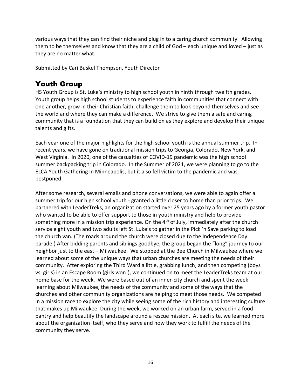various ways that they can find their niche and plug in to a caring church community. Allowing them to be themselves and know that they are a child of God – each unique and loved – just as they are no matter what.

Submitted by Cari Buskel Thompson, Youth Director

## <span id="page-15-0"></span>Youth Group

HS Youth Group is St. Luke's ministry to high school youth in ninth through twelfth grades. Youth group helps high school students to experience faith in communities that connect with one another, grow in their Christian faith, challenge them to look beyond themselves and see the world and where they can make a difference. We strive to give them a safe and caring community that is a foundation that they can build on as they explore and develop their unique talents and gifts.

Each year one of the major highlights for the high school youth is the annual summer trip. In recent years, we have gone on traditional mission trips to Georgia, Colorado, New York, and West Virginia. In 2020, one of the casualties of COVID-19 pandemic was the high school summer backpacking trip in Colorado. In the Summer of 2021, we were planning to go to the ELCA Youth Gathering in Minneapolis, but it also fell victim to the pandemic and was postponed.

After some research, several emails and phone conversations, we were able to again offer a summer trip for our high school youth - granted a little closer to home than prior trips. We partnered with LeaderTreks, an organization started over 25 years ago by a former youth pastor who wanted to be able to offer support to those in youth ministry and help to provide something more in a mission trip experience. On the  $4<sup>th</sup>$  of July, immediately after the church service eight youth and two adults left St. Luke's to gather in the Pick 'n Save parking to load the church van. (The roads around the church were closed due to the Independence Day parade.) After bidding parents and siblings goodbye, the group began the "long" journey to our neighbor just to the east – Milwaukee. We stopped at the Bee Church in Milwaukee where we learned about some of the unique ways that urban churches are meeting the needs of their community. After exploring the Third Ward a little, grabbing lunch, and then competing (boys vs. girls) in an Escape Room (girls won!), we continued on to meet the LeaderTreks team at our home base for the week. We were based out of an inner-city church and spent the week learning about Milwaukee, the needs of the community and some of the ways that the churches and other community organizations are helping to meet those needs. We competed in a mission race to explore the city while seeing some of the rich history and interesting culture that makes up Milwaukee. During the week, we worked on an urban farm, served in a food pantry and help beautify the landscape around a rescue mission. At each site, we learned more about the organization itself, who they serve and how they work to fulfill the needs of the community they serve.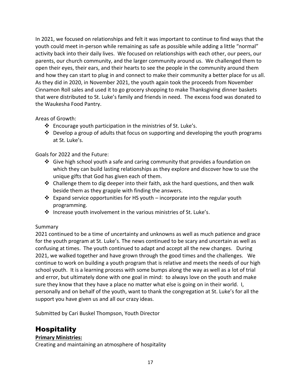In 2021, we focused on relationships and felt it was important to continue to find ways that the youth could meet in-person while remaining as safe as possible while adding a little "normal" activity back into their daily lives. We focused on relationships with each other, our peers, our parents, our church community, and the larger community around us. We challenged them to open their eyes, their ears, and their hearts to see the people in the community around them and how they can start to plug in and connect to make their community a better place for us all. As they did in 2020, in November 2021, the youth again took the proceeds from November Cinnamon Roll sales and used it to go grocery shopping to make Thanksgiving dinner baskets that were distributed to St. Luke's family and friends in need. The excess food was donated to the Waukesha Food Pantry.

#### Areas of Growth:

- $\cdot$  Encourage youth participation in the ministries of St. Luke's.
- $\cdot \cdot$  Develop a group of adults that focus on supporting and developing the youth programs at St. Luke's.

Goals for 2022 and the Future:

- ❖ Give high school youth a safe and caring community that provides a foundation on which they can build lasting relationships as they explore and discover how to use the unique gifts that God has given each of them.
- ◆ Challenge them to dig deeper into their faith, ask the hard questions, and then walk beside them as they grapple with finding the answers.
- ❖ Expand service opportunities for HS youth incorporate into the regular youth programming.
- ❖ Increase youth involvement in the various ministries of St. Luke's.

#### Summary

2021 continued to be a time of uncertainty and unknowns as well as much patience and grace for the youth program at St. Luke's. The news continued to be scary and uncertain as well as confusing at times. The youth continued to adapt and accept all the new changes. During 2021, we walked together and have grown through the good times and the challenges. We continue to work on building a youth program that is relative and meets the needs of our high school youth. It is a learning process with some bumps along the way as well as a lot of trial and error, but ultimately done with one goal in mind: to always love on the youth and make sure they know that they have a place no matter what else is going on in their world. I, personally and on behalf of the youth, want to thank the congregation at St. Luke's for all the support you have given us and all our crazy ideas.

Submitted by Cari Buskel Thompson, Youth Director

## <span id="page-16-0"></span>Hospitality

#### **Primary Ministries:**

Creating and maintaining an atmosphere of hospitality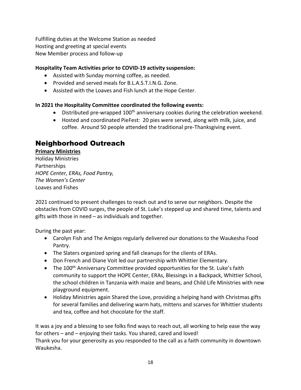Fulfilling duties at the Welcome Station as needed Hosting and greeting at special events New Member process and follow-up

#### **Hospitality Team Activities prior to COVID-19 activity suspension:**

- Assisted with Sunday morning coffee, as needed.
- Provided and served meals for B.L.A.S.T.I.N.G. Zone.
- Assisted with the Loaves and Fish lunch at the Hope Center.

#### **In 2021 the Hospitality Committee coordinated the following events:**

- $\bullet$  Distributed pre-wrapped 100<sup>th</sup> anniversary cookies during the celebration weekend.
- Hosted and coordinated PieFest: 20 pies were served, along with milk, juice, and coffee. Around 50 people attended the traditional pre-Thanksgiving event.

## <span id="page-17-0"></span>Neighborhood Outreach

**Primary Ministries**

Holiday Ministries Partnerships *HOPE Center, ERAs, Food Pantry, The Women's Center* Loaves and Fishes

2021 continued to present challenges to reach out and to serve our neighbors. Despite the obstacles from COVID surges, the people of St. Luke's stepped up and shared time, talents and gifts with those in need – as individuals and together.

During the past year:

- Carolyn Fish and The Amigos regularly delivered our donations to the Waukesha Food Pantry.
- The Slaters organized spring and fall cleanups for the clients of ERAs.
- Don French and Diane Voit led our partnership with Whittier Elementary.
- The 100<sup>th</sup> Anniversary Committee provided opportunities for the St. Luke's faith community to support the HOPE Center, ERAs, Blessings in a Backpack, Whittier School, the school children in Tanzania with maize and beans, and Child Life Ministries with new playground equipment.
- Holiday Ministries again Shared the Love, providing a helping hand with Christmas gifts for several families and delivering warm hats, mittens and scarves for Whittier students and tea, coffee and hot chocolate for the staff.

It was a joy and a blessing to see folks find ways to reach out, all working to help ease the way for others – and – enjoying their tasks. You shared, cared and loved! Thank you for your generosity as you responded to the call as a faith community in downtown Waukesha.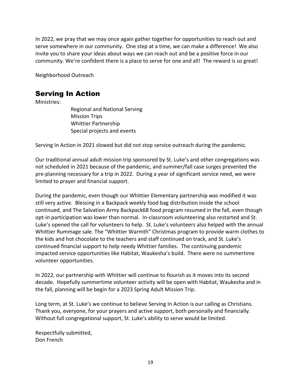In 2022, we pray that we may once again gather together for opportunities to reach out and serve somewhere in our community. One step at a time, we can make a difference! We also invite you to share your ideas about ways we can reach out and be a positive force in our community. We're confident there is a place to serve for one and all! The reward is so great!

Neighborhood Outreach

## <span id="page-18-0"></span>Serving In Action

Ministries:

Regional and National Serving Mission Trips Whittier Partnership Special projects and events

Serving In Action in 2021 slowed but did not stop service outreach during the pandemic.

Our traditional annual adult mission trip sponsored by St. Luke's and other congregations was not scheduled in 2021 because of the pandemic, and summer/fall case surges prevented the pre-planning necessary for a trip in 2022. During a year of significant service need, we were limited to prayer and financial support.

During the pandemic, even though our Whittier Elementary partnership was modified it was still very active. Blessing in a Backpack weekly food bag distribution inside the school continued, and The Salvation Army Backpack68 food program resumed in the fall, even though opt-in participation was lower than normal. In-classroom volunteering also restarted and St. Luke's opened the call for volunteers to help. St. Luke's volunteers also helped with the annual Whittier Rummage sale. The "Whittier Warmth" Christmas program to provide warm clothes to the kids and hot chocolate to the teachers and staff continued on track, and St. Luke's continued financial support to help needy Whittier families. The continuing pandemic impacted service opportunities like Habitat, Waukesha's build. There were no summertime volunteer opportunities.

In 2022, our partnership with Whittier will continue to flourish as it moves into its second decade. Hopefully summertime volunteer activity will be open with Habitat, Waukesha and in the fall, planning will be begin for a 2023 Spring Adult Mission Trip.

Long term, at St. Luke's we continue to believe Serving In Action is our calling as Christians. Thank you, everyone, for your prayers and active support, both personally and financially. Without full congregational support, St. Luke's ability to serve would be limited.

Respectfully submitted, Don French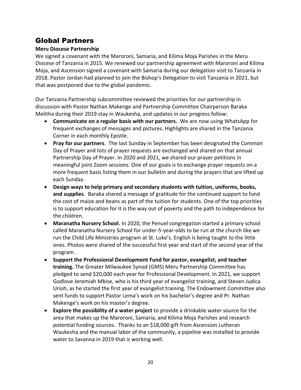## <span id="page-19-0"></span>Global Partners

#### **Meru Diocese Partnership**

We signed a covenant with the Maroroni, Samaria, and Kilima Moja Parishes in the Meru Diocese of Tanzania in 2015. We renewed our partnership agreement with Maroroni and Kilima Moja, and Ascension signed a covenant with Samaria during our delegation visit to Tanzania in 2018. Pastor Jordan had planned to join the Bishop's Delegation to visit Tanzania in 2021, but that was postponed due to the global pandemic.

Our Tanzania Partnership subcommittee reviewed the priorities for our partnership in discussion with Pastor Nathan Makenge and Partnership Committee Chairperson Baraka Melitha during their 2019 stay in Waukesha, and updates in our progress follow:

- **Communicate on a regular basis with our partners.** We are now using WhatsApp for frequent exchanges of messages and pictures. Highlights are shared in the Tanzania Corner in each monthly Epistle.
- **Pray for our partners**. The last Sunday in September has been designated the Common Day of Prayer and lists of prayer requests are exchanged and shared on that annual Partnership Day of Prayer. In 2020 and 2021, we shared our prayer petitions in meaningful joint Zoom sessions. One of our goals is to exchange prayer requests on a more frequent basis listing them in our bulletin and during the prayers that are lifted up each Sunday.
- **Design ways to help primary and secondary students with tuition, uniforms, books, and supplies**. Baraka shared a message of gratitude for the continued support to fund the cost of maize and beans as part of the tuition for students. One of the top priorities is to support education for it is the way out of poverty and the path to independence for the children.
- **Maranatha Nursery School.** In 2020, the Penuel congregation started a primary school called Maranatha Nursery School for under-5-year-olds to be run at the church like we run the Child Life Ministries program at St. Luke's. English is being taught to the little ones. Photos were shared of the successful first year and start of the second year of the program.
- **Support the Professional Development Fund for pastor, evangelist, and teacher training.** The Greater Milwaukee Synod (GMS) Meru Partnership Committee has pledged to send \$20,000 each year for Professional Development. In 2021, we support Godlove Jeremiah Mbise, who is his third year of evangelist training, and Steven Judica Urioh, as he started the first year of evangelist training. The Endowment Committee also sent funds to support Pastor Lema's work on his bachelor's degree and Pr. Nathan Makenge's work on his master's degree.
- **Explore the possibility of a water project** to provide a drinkable water source for the area that makes up the Maroroni, Samaria, and Kilima Moja Parishes and research potential funding sources. Thanks to an \$18,000 gift from Ascension Lutheran Waukesha and the manual labor of the community, a pipeline was installed to provide water to Savanna in 2019 that is working well.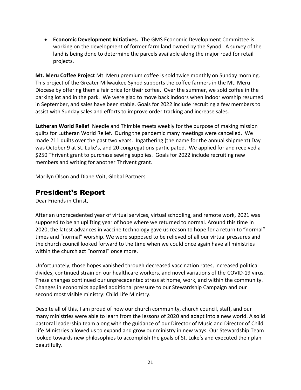• **Economic Development Initiatives.** The GMS Economic Development Committee is working on the development of former farm land owned by the Synod. A survey of the land is being done to determine the parcels available along the major road for retail projects.

**Mt. Meru Coffee Project** Mt. Meru premium coffee is sold twice monthly on Sunday morning. This project of the Greater Milwaukee Synod supports the coffee farmers in the Mt. Meru Diocese by offering them a fair price for their coffee. Over the summer, we sold coffee in the parking lot and in the park. We were glad to move back indoors when indoor worship resumed in September, and sales have been stable. Goals for 2022 include recruiting a few members to assist with Sunday sales and efforts to improve order tracking and increase sales.

**Lutheran World Relief** Needle and Thimble meets weekly for the purpose of making mission quilts for Lutheran World Relief. During the pandemic many meetings were cancelled. We made 211 quilts over the past two years. Ingathering (the name for the annual shipment) Day was October 9 at St. Luke's, and 20 congregations participated. We applied for and received a \$250 Thrivent grant to purchase sewing supplies. Goals for 2022 include recruiting new members and writing for another Thrivent grant.

Marilyn Olson and Diane Voit, Global Partners

## <span id="page-20-0"></span>President's Report

Dear Friends in Christ,

After an unprecedented year of virtual services, virtual schooling, and remote work, 2021 was supposed to be an uplifting year of hope where we returned to normal. Around this time in 2020, the latest advances in vaccine technology gave us reason to hope for a return to "normal" times and "normal" worship. We were supposed to be relieved of all our virtual pressures and the church council looked forward to the time when we could once again have all ministries within the church act "normal" once more.

Unfortunately, those hopes vanished through decreased vaccination rates, increased political divides, continued strain on our healthcare workers, and novel variations of the COVID-19 virus. These changes continued our unprecedented stress at home, work, and within the community. Changes in economics applied additional pressure to our Stewardship Campaign and our second most visible ministry: Child Life Ministry.

Despite all of this, I am proud of how our church community, church council, staff, and our many ministries were able to learn from the lessons of 2020 and adapt into a new world. A solid pastoral leadership team along with the guidance of our Director of Music and Director of Child Life Ministries allowed us to expand and grow our ministry in new ways. Our Stewardship Team looked towards new philosophies to accomplish the goals of St. Luke's and executed their plan beautifully.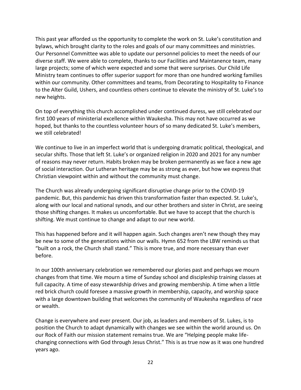This past year afforded us the opportunity to complete the work on St. Luke's constitution and bylaws, which brought clarity to the roles and goals of our many committees and ministries. Our Personnel Committee was able to update our personnel policies to meet the needs of our diverse staff. We were able to complete, thanks to our Facilities and Maintanence team, many large projects; some of which were expected and some that were surprises. Our Child Life Ministry team continues to offer superior support for more than one hundred working families within our community. Other committees and teams, from Decorating to Hospitality to Finance to the Alter Guild, Ushers, and countless others continue to elevate the ministry of St. Luke's to new heights.

On top of everything this church accomplished under continued duress, we still celebrated our first 100 years of ministerial excellence within Waukesha. This may not have occurred as we hoped, but thanks to the countless volunteer hours of so many dedicated St. Luke's members, we still celebrated!

We continue to live in an imperfect world that is undergoing dramatic political, theological, and secular shifts. Those that left St. Luke's or organized religion in 2020 and 2021 for any number of reasons may never return. Habits broken may be broken permanently as we face a new age of social interaction. Our Lutheran heritage may be as strong as ever, but how we express that Christian viewpoint within and without the community must change.

The Church was already undergoing significant disruptive change prior to the COVID-19 pandemic. But, this pandemic has driven this transformation faster than expected. St. Luke's, along with our local and national synods, and our other brothers and sister in Christ, are seeing those shifting changes. It makes us uncomfortable. But we have to accept that the church is shifting. We must continue to change and adapt to our new world.

This has happened before and it will happen again. Such changes aren't new though they may be new to some of the generations within our walls. Hymn 652 from the LBW reminds us that "built on a rock, the Church shall stand." This is more true, and more necessary than ever before.

In our 100th anniversary celebration we remembered our glories past and perhaps we mourn changes from that time. We mourn a time of Sunday school and discipleship training classes at full capacity. A time of easy stewardship drives and growing membership. A time when a little red brick church could foresee a massive growth in membership, capacity, and worship space with a large downtown building that welcomes the community of Waukesha regardless of race or wealth.

Change is everywhere and ever present. Our job, as leaders and members of St. Lukes, is to position the Church to adapt dynamically with changes we see within the world around us. On our Rock of Faith our mission statement remains true. We are "Helping people make lifechanging connections with God through Jesus Christ." This is as true now as it was one hundred years ago.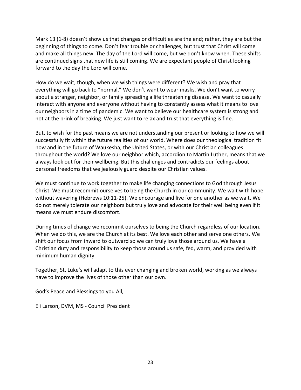Mark 13 (1-8) doesn't show us that changes or difficulties are the end; rather, they are but the beginning of things to come. Don't fear trouble or challenges, but trust that Christ will come and make all things new. The day of the Lord will come, but we don't know when. These shifts are continued signs that new life is still coming. We are expectant people of Christ looking forward to the day the Lord will come.

How do we wait, though, when we wish things were different? We wish and pray that everything will go back to "normal." We don't want to wear masks. We don't want to worry about a stranger, neighbor, or family spreading a life threatening disease. We want to casually interact with anyone and everyone without having to constantly assess what it means to love our neighbors in a time of pandemic. We want to believe our healthcare system is strong and not at the brink of breaking. We just want to relax and trust that everything is fine.

But, to wish for the past means we are not understanding our present or looking to how we will successfully fit within the future realities of our world. Where does our theological tradition fit now and in the future of Waukesha, the United States, or with our Christian colleagues throughout the world? We love our neighbor which, accordion to Martin Luther, means that we always look out for their wellbeing. But this challenges and contradicts our feelings about personal freedoms that we jealously guard despite our Christian values.

We must continue to work together to make life changing connections to God through Jesus Christ. We must recommit ourselves to being the Church in our community. We wait with hope without wavering (Hebrews 10:11-25). We encourage and live for one another as we wait. We do not merely tolerate our neighbors but truly love and advocate for their well being even if it means we must endure discomfort.

During times of change we recommit ourselves to being the Church regardless of our location. When we do this, we are the Church at its best. We love each other and serve one others. We shift our focus from inward to outward so we can truly love those around us. We have a Christian duty and responsibility to keep those around us safe, fed, warm, and provided with minimum human dignity.

Together, St. Luke's will adapt to this ever changing and broken world, working as we always have to improve the lives of those other than our own.

God's Peace and Blessings to you All,

Eli Larson, DVM, MS - Council President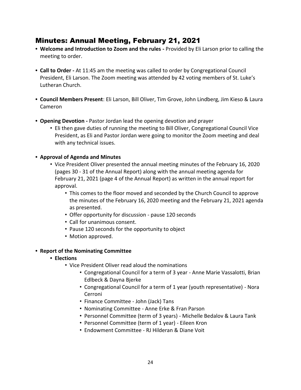## <span id="page-23-0"></span>Minutes: Annual Meeting, February 21, 2021

- **• Welcome and Introduction to Zoom and the rules -** Provided by Eli Larson prior to calling the meeting to order.
- **• Call to Order -** At 11:45 am the meeting was called to order by Congregational Council President, Eli Larson. The Zoom meeting was attended by 42 voting members of St. Luke's Lutheran Church.
- **• Council Members Present**: Eli Larson, Bill Oliver, Tim Grove, John Lindberg, Jim Kieso & Laura Cameron
- **• Opening Devotion -** Pastor Jordan lead the opening devotion and prayer
	- Eli then gave duties of running the meeting to Bill Oliver, Congregational Council Vice President, as Eli and Pastor Jordan were going to monitor the Zoom meeting and deal with any technical issues.
- **• Approval of Agenda and Minutes**
	- Vice President Oliver presented the annual meeting minutes of the February 16, 2020 (pages 30 - 31 of the Annual Report) along with the annual meeting agenda for February 21, 2021 (page 4 of the Annual Report) as written in the annual report for approval.
		- This comes to the floor moved and seconded by the Church Council to approve the minutes of the February 16, 2020 meeting and the February 21, 2021 agenda as presented.
		- Offer opportunity for discussion pause 120 seconds
		- Call for unanimous consent.
		- Pause 120 seconds for the opportunity to object
		- Motion approved.
- **• Report of the Nominating Committee**
	- **• Elections**
		- Vice President Oliver read aloud the nominations
			- Congregational Council for a term of 3 year Anne Marie Vassalotti, Brian Edlbeck & Dayna Bjerke
			- Congregational Council for a term of 1 year (youth representative) Nora Cerroni
			- Finance Committee John (Jack) Tans
			- Nominating Committee Anne Erke & Fran Parson
			- Personnel Committee (term of 3 years) Michelle Bedalov & Laura Tank
			- Personnel Committee (term of 1 year) Eileen Kron
			- Endowment Committee RJ Hilderan & Diane Voit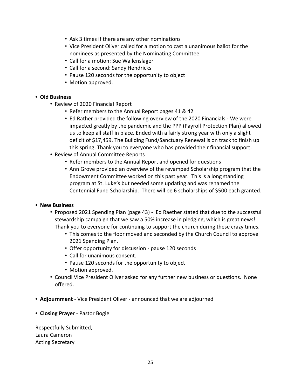- Ask 3 times if there are any other nominations
- Vice President Oliver called for a motion to cast a unanimous ballot for the nominees as presented by the Nominating Committee.
- Call for a motion: Sue Wallenslager
- Call for a second: Sandy Hendricks
- Pause 120 seconds for the opportunity to object
- Motion approved.

#### **• Old Business**

- Review of 2020 Financial Report
	- Refer members to the Annual Report pages 41 & 42
	- Ed Rather provided the following overview of the 2020 Financials We were impacted greatly by the pandemic and the PPP (Payroll Protection Plan) allowed us to keep all staff in place. Ended with a fairly strong year with only a slight deficit of \$17,459. The Building Fund/Sanctuary Renewal is on track to finish up this spring. Thank you to everyone who has provided their financial support.
- Review of Annual Committee Reports
	- Refer members to the Annual Report and opened for questions
	- Ann Grove provided an overview of the revamped Scholarship program that the Endowment Committee worked on this past year. This is a long standing program at St. Luke's but needed some updating and was renamed the Centennial Fund Scholarship. There will be 6 scholarships of \$500 each granted.

#### **• New Business**

- Proposed 2021 Spending Plan (page 43) Ed Raether stated that due to the successful stewardship campaign that we saw a 50% increase in pledging, which is great news! Thank you to everyone for continuing to support the church during these crazy times.
	- This comes to the floor moved and seconded by the Church Council to approve 2021 Spending Plan.
	- Offer opportunity for discussion pause 120 seconds
	- Call for unanimous consent.
	- Pause 120 seconds for the opportunity to object
	- Motion approved.
- Council Vice President Oliver asked for any further new business or questions. None offered.
- **• Adjournment** Vice President Oliver announced that we are adjourned
- **• Closing Praye**r Pastor Bogie

Respectfully Submitted, Laura Cameron Acting Secretary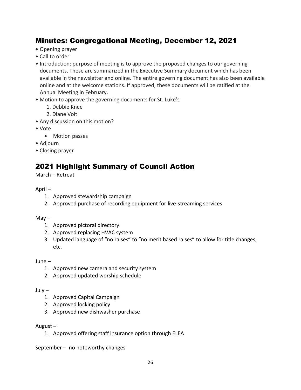## <span id="page-25-0"></span>Minutes: Congregational Meeting, December 12, 2021

- Opening prayer
- Call to order
- Introduction: purpose of meeting is to approve the proposed changes to our governing documents. These are summarized in the Executive Summary document which has been available in the newsletter and online. The entire governing document has also been available online and at the welcome stations. If approved, these documents will be ratified at the Annual Meeting in February.
- Motion to approve the governing documents for St. Luke's
	- 1. Debbie Knee
	- 2. Diane Voit
- Any discussion on this motion?
- Vote
	- Motion passes
- Adjourn
- Closing prayer

## <span id="page-25-1"></span>2021 Highlight Summary of Council Action

March – Retreat

#### April –

- 1. Approved stewardship campaign
- 2. Approved purchase of recording equipment for live-streaming services

#### $M$ ay  $-$

- 1. Approved pictoral directory
- 2. Approved replacing HVAC system
- 3. Updated language of "no raises" to "no merit based raises" to allow for title changes, etc.

June –

- 1. Approved new camera and security system
- 2. Approved updated worship schedule

July –

- 1. Approved Capital Campaign
- 2. Approved locking policy
- 3. Approved new dishwasher purchase

#### August –

1. Approved offering staff insurance option through ELEA

September – no noteworthy changes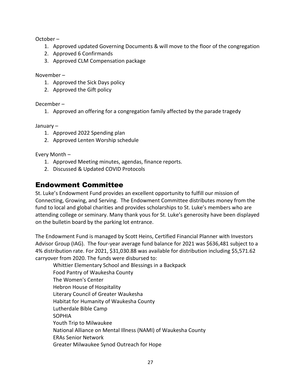October –

- 1. Approved updated Governing Documents & will move to the floor of the congregation
- 2. Approved 6 Confirmands
- 3. Approved CLM Compensation package

November –

- 1. Approved the Sick Days policy
- 2. Approved the Gift policy

December –

1. Approved an offering for a congregation family affected by the parade tragedy

January –

- 1. Approved 2022 Spending plan
- 2. Approved Lenten Worship schedule

Every Month –

- 1. Approved Meeting minutes, agendas, finance reports.
- 2. Discussed & Updated COVID Protocols

## <span id="page-26-0"></span>Endowment Committee

St. Luke's Endowment Fund provides an excellent opportunity to fulfill our mission of Connecting, Growing, and Serving. The Endowment Committee distributes money from the fund to local and global charities and provides scholarships to St. Luke's members who are attending college or seminary. Many thank yous for St. Luke's generosity have been displayed on the bulletin board by the parking lot entrance.

The Endowment Fund is managed by Scott Heins, Certified Financial Planner with Investors Advisor Group (IAG). The four-year average fund balance for 2021 was \$636,481 subject to a 4% distribution rate. For 2021, \$31,030.88 was available for distribution including \$5,571.62 carryover from 2020. The funds were disbursed to:

Whittier Elementary School and Blessings in a Backpack Food Pantry of Waukesha County The Women's Center Hebron House of Hospitality Literary Council of Greater Waukesha Habitat for Humanity of Waukesha County Lutherdale Bible Camp SOPHIA Youth Trip to Milwaukee National Alliance on Mental Illness (NAMI) of Waukesha County ERAs Senior Network Greater Milwaukee Synod Outreach for Hope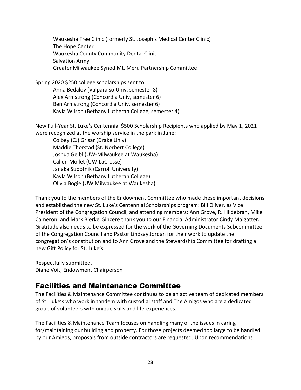Waukesha Free Clinic (formerly St. Joseph's Medical Center Clinic) The Hope Center Waukesha County Community Dental Clinic Salvation Army Greater Milwaukee Synod Mt. Meru Partnership Committee

Spring 2020 \$250 college scholarships sent to: Anna Bedalov (Valparaiso Univ, semester 8) Alex Armstrong (Concordia Univ, semester 6) Ben Armstrong (Concordia Univ, semester 6) Kayla Wilson (Bethany Lutheran College, semester 4)

New Full-Year St. Luke's Centennial \$500 Scholarship Recipients who applied by May 1, 2021 were recognized at the worship service in the park in June:

Colbey (CJ) Grisar (Drake Univ) Maddie Thorstad (St. Norbert College) Joshua Geibl (UW-Milwaukee at Waukesha) Callen Mollet (UW-LaCrosse) Janaka Subotnik (Carroll University) Kayla Wilson (Bethany Lutheran College) Olivia Bogie (UW Milwaukee at Waukesha)

Thank you to the members of the Endowment Committee who made these important decisions and established the new St. Luke's Centennial Scholarships program: Bill Oliver, as Vice President of the Congregation Council, and attending members: Ann Grove, RJ Hildebran, Mike Cameron, and Mark Bjerke. Sincere thank you to our Financial Administrator Cindy Maigatter. Gratitude also needs to be expressed for the work of the Governing Documents Subcommittee of the Congregation Council and Pastor Lindsay Jordan for their work to update the congregation's constitution and to Ann Grove and the Stewardship Committee for drafting a new Gift Policy for St. Luke's.

Respectfully submitted, Diane Voit, Endowment Chairperson

## <span id="page-27-0"></span>Facilities and Maintenance Committee

The Facilities & Maintenance Committee continues to be an active team of dedicated members of St. Luke's who work in tandem with custodial staff and The Amigos who are a dedicated group of volunteers with unique skills and life-experiences.

The Facilities & Maintenance Team focuses on handling many of the issues in caring for/maintaining our building and property. For those projects deemed too large to be handled by our Amigos, proposals from outside contractors are requested. Upon recommendations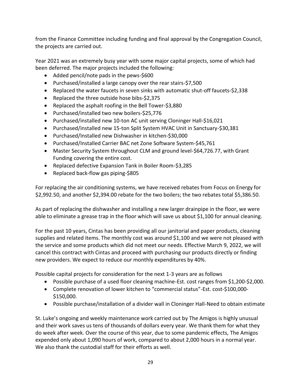from the Finance Committee including funding and final approval by the Congregation Council, the projects are carried out.

Year 2021 was an extremely busy year with some major capital projects, some of which had been deferred. The major projects included the following:

- Added pencil/note pads in the pews-\$600
- Purchased/installed a large canopy over the rear stairs-\$7,500
- Replaced the water faucets in seven sinks with automatic shut-off faucets-\$2,338
- Replaced the three outside hose bibs-\$2,375
- Replaced the asphalt roofing in the Bell Tower-\$3,880
- Purchased/installed two new boilers-\$25,776
- Purchased/installed new 10-ton AC unit serving Cloninger Hall-\$16,021
- Purchased/installed new 15-ton Split System HVAC Unit in Sanctuary-\$30,381
- Purchased/Installed new Dishwasher in kitchen-\$30,000
- Purchased/Installed Carrier BAC net Zone Software System-\$45,761
- Master Security System throughout CLM and ground level-\$64,726.77, with Grant Funding covering the entire cost.
- Replaced defective Expansion Tank in Boiler Room-\$3,285
- Replaced back-flow gas piping-\$805

For replacing the air conditioning systems, we have received rebates from Focus on Energy for \$2,992.50, and another \$2,394.00 rebate for the two boilers; the two rebates total \$5,386.50.

As part of replacing the dishwasher and installing a new larger drainpipe in the floor, we were able to eliminate a grease trap in the floor which will save us about \$1,100 for annual cleaning.

For the past 10 years, Cintas has been providing all our janitorial and paper products, cleaning supplies and related items. The monthly cost was around \$1,100 and we were not pleased with the service and some products which did not meet our needs. Effective March 9, 2022, we will cancel this contract with Cintas and proceed with purchasing our products directly or finding new providers. We expect to reduce our monthly expenditures by 40%.

Possible capital projects for consideration for the next 1-3 years are as follows

- Possible purchase of a used floor cleaning machine-Est. cost ranges from \$1,200-\$2,000.
- Complete renovation of lower kitchen to "commercial status"-Est. cost-\$100,000- \$150,000.
- Possible purchase/installation of a divider wall in Cloninger Hall-Need to obtain estimate

St. Luke's ongoing and weekly maintenance work carried out by The Amigos is highly unusual and their work saves us tens of thousands of dollars every year. We thank them for what they do week after week. Over the course of this year, due to some pandemic effects, The Amigos expended only about 1,090 hours of work, compared to about 2,000 hours in a normal year. We also thank the custodial staff for their efforts as well.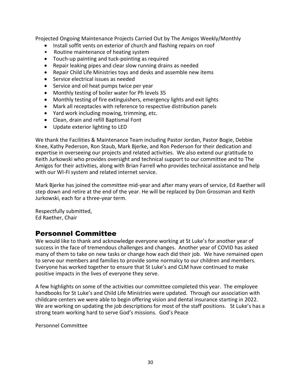Projected Ongoing Maintenance Projects Carried Out by The Amigos Weekly/Monthly

- Install soffit vents on exterior of church and flashing repairs on roof
- Routine maintenance of heating system
- Touch-up painting and tuck-pointing as required
- Repair leaking pipes and clear slow running drains as needed
- Repair Child Life Ministries toys and desks and assemble new items
- Service electrical issues as needed
- Service and oil heat pumps twice per year
- Monthly testing of boiler water for Ph levels 35
- Monthly testing of fire extinguishers, emergency lights and exit lights
- Mark all receptacles with reference to respective distribution panels
- Yard work including mowing, trimming, etc.
- Clean, drain and refill Baptismal Font
- Update exterior lighting to LED

We thank the Facilities & Maintenance Team including Pastor Jordan, Pastor Bogie, Debbie Knee, Kathy Pederson, Ron Staub, Mark Bjerke, and Ron Pederson for their dedication and expertise in overseeing our projects and related activities. We also extend our gratitude to Keith Jurkowski who provides oversight and technical support to our committee and to The Amigos for their activities, along with Brian Farrell who provides technical assistance and help with our WI-FI system and related internet service.

Mark Bjerke has joined the committee mid-year and after many years of service, Ed Raether will step down and retire at the end of the year. He will be replaced by Don Grossman and Keith Jurkowski, each for a three-year term.

Respectfully submitted, Ed Raether, Chair

## <span id="page-29-0"></span>Personnel Committee

We would like to thank and acknowledge everyone working at St Luke's for another year of success in the face of tremendous challenges and changes. Another year of COVID has asked many of them to take on new tasks or change how each did their job. We have remained open to serve our members and families to provide some normalcy to our children and members. Everyone has worked together to ensure that St Luke's and CLM have continued to make positive impacts in the lives of everyone they serve.

A few highlights on some of the activities our committee completed this year. The employee handbooks for St Luke's and Child Life Ministries were updated. Through our association with childcare centers we were able to begin offering vision and dental insurance starting in 2022. We are working on updating the job descriptions for most of the staff positions. St Luke's has a strong team working hard to serve God's missions. God's Peace

Personnel Committee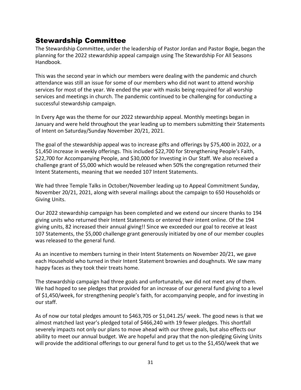## <span id="page-30-0"></span>Stewardship Committee

The Stewardship Committee, under the leadership of Pastor Jordan and Pastor Bogie, began the planning for the 2022 stewardship appeal campaign using The Stewardship For All Seasons Handbook.

This was the second year in which our members were dealing with the pandemic and church attendance was still an issue for some of our members who did not want to attend worship services for most of the year. We ended the year with masks being required for all worship services and meetings in church. The pandemic continued to be challenging for conducting a successful stewardship campaign.

In Every Age was the theme for our 2022 stewardship appeal. Monthly meetings began in January and were held throughout the year leading up to members submitting their Statements of Intent on Saturday/Sunday November 20/21, 2021.

The goal of the stewardship appeal was to increase gifts and offerings by \$75,400 in 2022, or a \$1,450 increase in weekly offerings. This included \$22,700 for Strengthening People's Faith, \$22,700 for Accompanying People, and \$30,000 for Investing in Our Staff. We also received a challenge grant of \$5,000 which would be released when 50% the congregation returned their Intent Statements, meaning that we needed 107 Intent Statements.

We had three Temple Talks in October/November leading up to Appeal Commitment Sunday, November 20/21, 2021, along with several mailings about the campaign to 650 Households or Giving Units.

Our 2022 stewardship campaign has been completed and we extend our sincere thanks to 194 giving units who returned their Intent Statements or entered their intent online. Of the 194 giving units, 82 increased their annual giving!! Since we exceeded our goal to receive at least 107 Statements, the \$5,000 challenge grant generously initiated by one of our member couples was released to the general fund.

As an incentive to members turning in their Intent Statements on November 20/21, we gave each Household who turned in their Intent Statement brownies and doughnuts. We saw many happy faces as they took their treats home.

The stewardship campaign had three goals and unfortunately, we did not meet any of them. We had hoped to see pledges that provided for an increase of our general fund giving to a level of \$1,450/week, for strengthening people's faith, for accompanying people, and for investing in our staff.

As of now our total pledges amount to \$463,705 or \$1,041.25/ week. The good news is that we almost matched last year's pledged total of \$466,240 with 19 fewer pledges. This shortfall severely impacts not only our plans to move ahead with our three goals, but also effects our ability to meet our annual budget. We are hopeful and pray that the non-pledging Giving Units will provide the additional offerings to our general fund to get us to the \$1,450/week that we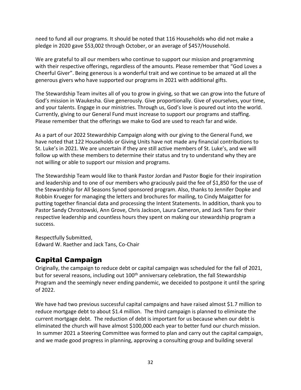need to fund all our programs. It should be noted that 116 Households who did not make a pledge in 2020 gave \$53,002 through October, or an average of \$457/Household.

We are grateful to all our members who continue to support our mission and programming with their respective offerings, regardless of the amounts. Please remember that "God Loves a Cheerful Giver". Being generous is a wonderful trait and we continue to be amazed at all the generous givers who have supported our programs in 2021 with additional gifts.

The Stewardship Team invites all of you to grow in giving, so that we can grow into the future of God's mission in Waukesha. Give generously. Give proportionally. Give of yourselves, your time, and your talents. Engage in our ministries. Through us, God's love is poured out into the world. Currently, giving to our General Fund must increase to support our programs and staffing. Please remember that the offerings we make to God are used to reach far and wide.

As a part of our 2022 Stewardship Campaign along with our giving to the General Fund, we have noted that 122 Households or Giving Units have not made any financial contributions to St. Luke's in 2021. We are uncertain if they are still active members of St. Luke's, and we will follow up with these members to determine their status and try to understand why they are not willing or able to support our mission and programs.

The Stewardship Team would like to thank Pastor Jordan and Pastor Bogie for their inspiration and leadership and to one of our members who graciously paid the fee of \$1,850 for the use of the Stewardship for All Seasons Synod sponsored program. Also, thanks to Jennifer Dopke and Robbin Krueger for managing the letters and brochures for mailing, to Cindy Maigatter for putting together financial data and processing the Intent Statements. In addition, thank you to Pastor Sandy Chrostowski, Ann Grove, Chris Jackson, Laura Cameron, and Jack Tans for their respective leadership and countless hours they spent on making our stewardship program a success.

Respectfully Submitted, Edward W. Raether and Jack Tans, Co-Chair

## <span id="page-31-0"></span>Capital Campaign

Originally, the campaign to reduce debt or capital campaign was scheduled for the fall of 2021, but for several reasons, including out 100<sup>th</sup> anniversary celebration, the fall Stewardship Program and the seemingly never ending pandemic, we deceided to postpone it until the spring of 2022.

We have had two previous successful capital campaigns and have raised almost \$1.7 million to reduce mortgage debt to about \$1.4 million. The third campaign is planned to eliminate the current mortgage debt. The reduction of debt is important for us because when our debt is eliminated the church will have almost \$100,000 each year to better fund our church mission. In summer 2021 a Steering Committee was formed to plan and carry out the capital campaign, and we made good progress in planning, approving a consulting group and building several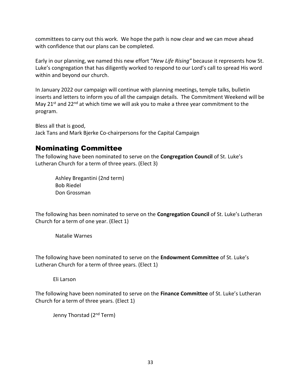committees to carry out this work. We hope the path is now clear and we can move ahead with confidence that our plans can be completed.

Early in our planning, we named this new effort "*New Life Rising"* because it represents how St. Luke's congregation that has diligently worked to respond to our Lord's call to spread His word within and beyond our church.

In January 2022 our campaign will continue with planning meetings, temple talks, bulletin inserts and letters to inform you of all the campaign details. The Commitment Weekend will be May  $21^{st}$  and  $22^{nd}$  at which time we will ask you to make a three year commitment to the program.

Bless all that is good, Jack Tans and Mark Bjerke Co-chairpersons for the Capital Campaign

## <span id="page-32-0"></span>Nominating Committee

The following have been nominated to serve on the **Congregation Council** of St. Luke's Lutheran Church for a term of three years. (Elect 3)

Ashley Bregantini (2nd term) Bob Riedel Don Grossman

The following has been nominated to serve on the **Congregation Council** of St. Luke's Lutheran Church for a term of one year. (Elect 1)

Natalie Warnes

The following have been nominated to serve on the **Endowment Committee** of St. Luke's Lutheran Church for a term of three years. (Elect 1)

Eli Larson

The following have been nominated to serve on the **Finance Committee** of St. Luke's Lutheran Church for a term of three years. (Elect 1)

Jenny Thorstad (2<sup>nd</sup> Term)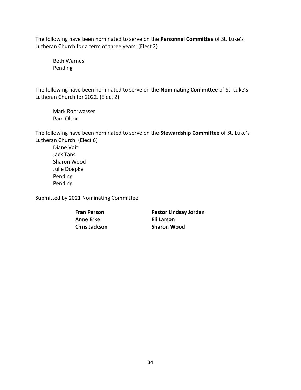The following have been nominated to serve on the **Personnel Committee** of St. Luke's Lutheran Church for a term of three years. (Elect 2)

Beth Warnes Pending

The following have been nominated to serve on the **Nominating Committee** of St. Luke's Lutheran Church for 2022. (Elect 2)

Mark Rohrwasser Pam Olson

The following have been nominated to serve on the **Stewardship Committee** of St. Luke's Lutheran Church. (Elect 6)

Diane Voit Jack Tans Sharon Wood Julie Doepke Pending Pending

Submitted by 2021 Nominating Committee

**Fran Parson Anne Erke Chris Jackson** **Pastor Lindsay Jordan Eli Larson Sharon Wood**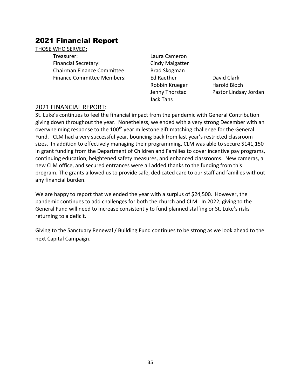## <span id="page-34-0"></span>2021 Financial Report

#### THOSE WHO SERVED:

Treasurer: Laura Cameron Financial Secretary: Cindy Maigatter Chairman Finance Committee: Brad Skogman Finance Committee Members: Ed Raether David Clark

Robbin Krueger Harold Bloch Jack Tans

Jenny Thorstad Pastor Lindsay Jordan

#### 2021 FINANCIAL REPORT:

St. Luke's continues to feel the financial impact from the pandemic with General Contribution giving down throughout the year. Nonetheless, we ended with a very strong December with an overwhelming response to the 100<sup>th</sup> year milestone gift matching challenge for the General Fund. CLM had a very successful year, bouncing back from last year's restricted classroom sizes. In addition to effectively managing their programming, CLM was able to secure \$141,150 in grant funding from the Department of Children and Families to cover incentive pay programs, continuing education, heightened safety measures, and enhanced classrooms. New cameras, a new CLM office, and secured entrances were all added thanks to the funding from this program. The grants allowed us to provide safe, dedicated care to our staff and families without any financial burden.

We are happy to report that we ended the year with a surplus of \$24,500. However, the pandemic continues to add challenges for both the church and CLM. In 2022, giving to the General Fund will need to increase consistently to fund planned staffing or St. Luke's risks returning to a deficit.

Giving to the Sanctuary Renewal / Building Fund continues to be strong as we look ahead to the next Capital Campaign.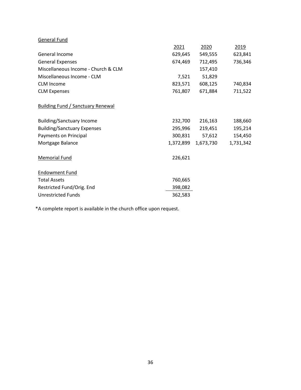| General Fund                             |           |           |           |
|------------------------------------------|-----------|-----------|-----------|
|                                          | 2021      | 2020      | 2019      |
| General Income                           | 629,645   | 549,555   | 623,841   |
| <b>General Expenses</b>                  | 674,469   | 712,495   | 736,346   |
| Miscellaneous Income - Church & CLM      |           | 157,410   |           |
| Miscellaneous Income - CLM               | 7,521     | 51,829    |           |
| <b>CLM Income</b>                        | 823,571   | 608,125   | 740,834   |
| <b>CLM Expenses</b>                      | 761,807   | 671,884   | 711,522   |
| <b>Building Fund / Sanctuary Renewal</b> |           |           |           |
| <b>Building/Sanctuary Income</b>         | 232,700   | 216,163   | 188,660   |
| <b>Building/Sanctuary Expenses</b>       | 295,996   | 219,451   | 195,214   |
| Payments on Principal                    | 300,831   | 57,612    | 154,450   |
| Mortgage Balance                         | 1,372,899 | 1,673,730 | 1,731,342 |
| <b>Memorial Fund</b>                     | 226,621   |           |           |
| <b>Endowment Fund</b>                    |           |           |           |
| <b>Total Assets</b>                      | 760,665   |           |           |
| Restricted Fund/Orig. End                | 398,082   |           |           |
| <b>Unrestricted Funds</b>                | 362,583   |           |           |

\*A complete report is available in the church office upon request.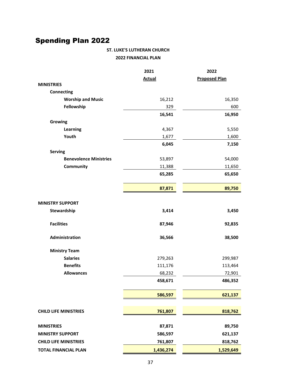# <span id="page-36-0"></span>Spending Plan 2022

#### **ST. LUKE'S LUTHERAN CHURCH 2022 FINANCIAL PLAN**

|                               | 2021          | 2022                 |
|-------------------------------|---------------|----------------------|
|                               | <b>Actual</b> | <b>Proposed Plan</b> |
| <b>MINISTRIES</b>             |               |                      |
| <b>Connecting</b>             |               |                      |
| <b>Worship and Music</b>      | 16,212        | 16,350               |
| Fellowship                    | 329           | 600                  |
|                               | 16,541        | 16,950               |
| Growing                       |               |                      |
| Learning                      | 4,367         | 5,550                |
| Youth                         | 1,677         | 1,600                |
|                               | 6,045         | 7,150                |
| <b>Serving</b>                |               |                      |
| <b>Benevolence Ministries</b> | 53,897        | 54,000               |
| Community                     | 11,388        | 11,650               |
|                               | 65,285        | 65,650               |
|                               |               |                      |
|                               | 87,871        | 89,750               |
|                               |               |                      |
| <b>MINISTRY SUPPORT</b>       |               |                      |
| Stewardship                   | 3,414         | 3,450                |
|                               |               |                      |
| <b>Facilities</b>             | 87,946        | 92,835               |
| Administration                | 36,566        | 38,500               |
|                               |               |                      |
| <b>Ministry Team</b>          |               |                      |
| <b>Salaries</b>               | 279,263       | 299,987              |
| <b>Benefits</b>               | 111,176       | 113,464              |
| <b>Allowances</b>             | 68,232        | 72,901               |
|                               | 458,671       | 486,352              |
|                               |               |                      |
|                               | 586,597       | 621,137              |
|                               |               |                      |
| <b>CHILD LIFE MINISTRIES</b>  | 761,807       | 818,762              |
|                               |               |                      |
| <b>MINISTRIES</b>             | 87,871        | 89,750               |
| <b>MINISTRY SUPPORT</b>       | 586,597       | 621,137              |
| <b>CHILD LIFE MINISTRIES</b>  | 761,807       | 818,762              |
| <b>TOTAL FINANCIAL PLAN</b>   | 1,436,274     |                      |
|                               |               | 1,529,649            |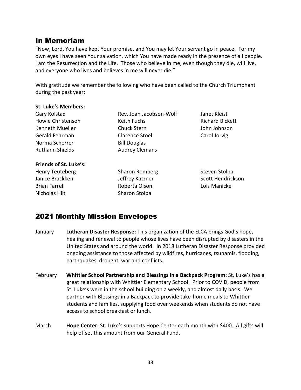## <span id="page-37-0"></span>In Memoriam

"Now, Lord, You have kept Your promise, and You may let Your servant go in peace. For my own eyes I have seen Your salvation, which You have made ready in the presence of all people. I am the Resurrection and the Life. Those who believe in me, even though they die, will live, and everyone who lives and believes in me will never die."

With gratitude we remember the following who have been called to the Church Triumphant during the past year:

#### **St. Luke's Members:**

| Rev. Joan Jacobson-Wolf |
|-------------------------|
| Keith Fuchs             |
| <b>Chuck Stern</b>      |
| <b>Clarence Stoel</b>   |
| <b>Bill Douglas</b>     |
| <b>Audrey Clemans</b>   |
|                         |

#### **Friends of St. Luke's:**

Henry Teuteberg Janice Brackken Brian Farrell Nicholas Hilt

Sharon Romberg Jeffrey Katzner Roberta Olson Sharon Stolpa

Janet Kleist Richard Bickett John Johnson Carol Jorvig

Steven Stolpa Scott Hendrickson Lois Manicke

## <span id="page-37-1"></span>2021 Monthly Mission Envelopes

- January **Lutheran Disaster Response:** This organization of the ELCA brings God's hope, healing and renewal to people whose lives have been disrupted by disasters in the United States and around the world. In 2018 Lutheran Disaster Response provided ongoing assistance to those affected by wildfires, hurricanes, tsunamis, flooding, earthquakes, drought, war and conflicts.
- February **Whittier School Partnership and Blessings in a Backpack Program:** St. Luke's has a great relationship with Whittier Elementary School. Prior to COVID, people from St. Luke's were in the school building on a weekly, and almost daily basis. We partner with Blessings in a Backpack to provide take-home meals to Whittier students and families, supplying food over weekends when students do not have access to school breakfast or lunch.
- March **Hope Center:** St. Luke's supports Hope Center each month with \$400. All gifts will help offset this amount from our General Fund.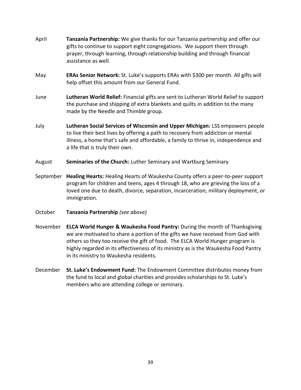- April **Tanzania Partnership:** We give thanks for our Tanzania partnership and offer our gifts to continue to support eight congregations. We support them through prayer, through learning, through relationship building and through financial assistance as well.
- May **ERAs Senior Network:** St. Luke's supports ERAs with \$300 per month. All gifts will help offset this amount from our General Fund.
- June **Lutheran World Relief:** Financial gifts are sent to Lutheran World Relief to support the purchase and shipping of extra blankets and quilts in addition to the many made by the Needle and Thimble group.
- July **Lutheran Social Services of Wisconsin and Upper Michigan:** LSS empowers people to live their best lives by offering a path to recovery from addiction or mental illness, a home that's safe and affordable, a family to thrive in, independence and a life that is truly their own.
- August **Seminaries of the Church:** Luther Seminary and Wartburg Seminary
- September **Healing Hearts:** Healing Hearts of Waukesha County offers a peer-to-peer support program for children and teens, ages 4 through 18, who are grieving the loss of a loved one due to death, divorce, separation, incarceration, military deployment, or immigration.
- October **Tanzania Partnership** *(see above)*
- November **ELCA World Hunger & Waukesha Food Pantry:** During the month of Thanksgiving we are motivated to share a portion of the gifts we have received from God with others so they too receive the gift of food. The ELCA World Hunger program is highly regarded in its effectiveness of its ministry as is the Waukesha Food Pantry in its ministry to Waukesha residents.
- December **St. Luke's Endowment Fund:** The Endowment Committee distributes money from the fund to local and global charities and provides scholarships to St. Luke's members who are attending college or seminary.